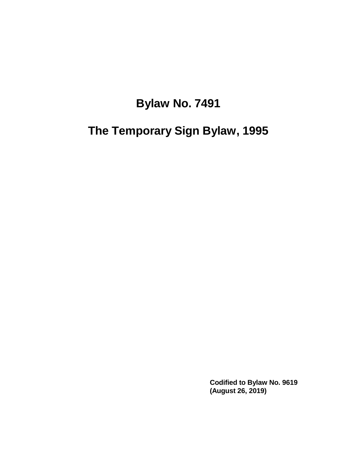# **Bylaw No. 7491**

**The Temporary Sign Bylaw, 1995**

**Codified to Bylaw No. 9619 (August 26, 2019)**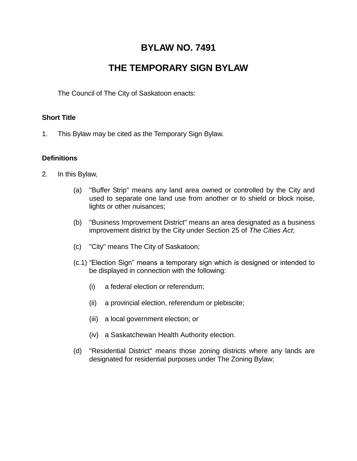# **BYLAW NO. 7491**

# **THE TEMPORARY SIGN BYLAW**

The Council of The City of Saskatoon enacts:

#### **Short Title**

1. This Bylaw may be cited as the Temporary Sign Bylaw.

#### **Definitions**

- 2. In this Bylaw,
	- (a) "Buffer Strip" means any land area owned or controlled by the City and used to separate one land use from another or to shield or block noise, lights or other nuisances;
	- (b) "Business Improvement District" means an area designated as a business improvement district by the City under Section 25 of *The Cities Act*;
	- (c) "City" means The City of Saskatoon;
	- (c.1) "Election Sign" means a temporary sign which is designed or intended to be displayed in connection with the following:
		- (i) a federal election or referendum;
		- (ii) a provincial election, referendum or plebiscite;
		- (iii) a local government election; or
		- (iv) a Saskatchewan Health Authority election.
	- (d) "Residential District" means those zoning districts where any lands are designated for residential purposes under The Zoning Bylaw;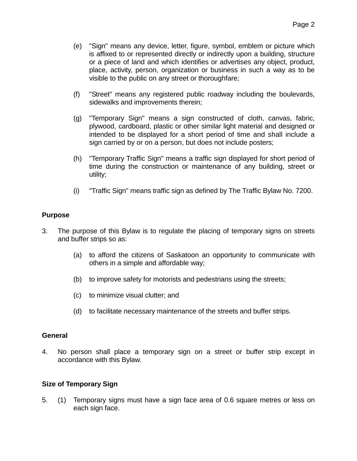- (e) "Sign" means any device, letter, figure, symbol, emblem or picture which is affixed to or represented directly or indirectly upon a building, structure or a piece of land and which identifies or advertises any object, product, place, activity, person, organization or business in such a way as to be visible to the public on any street or thoroughfare;
- (f) "Street" means any registered public roadway including the boulevards, sidewalks and improvements therein;
- (g) "Temporary Sign" means a sign constructed of cloth, canvas, fabric, plywood, cardboard, plastic or other similar light material and designed or intended to be displayed for a short period of time and shall include a sign carried by or on a person, but does not include posters;
- (h) "Temporary Traffic Sign" means a traffic sign displayed for short period of time during the construction or maintenance of any building, street or utility;
- (i) "Traffic Sign" means traffic sign as defined by The Traffic Bylaw No. 7200.

#### **Purpose**

- 3. The purpose of this Bylaw is to regulate the placing of temporary signs on streets and buffer strips so as:
	- (a) to afford the citizens of Saskatoon an opportunity to communicate with others in a simple and affordable way;
	- (b) to improve safety for motorists and pedestrians using the streets;
	- (c) to minimize visual clutter; and
	- (d) to facilitate necessary maintenance of the streets and buffer strips.

#### **General**

4. No person shall place a temporary sign on a street or buffer strip except in accordance with this Bylaw.

#### **Size of Temporary Sign**

5. (1) Temporary signs must have a sign face area of 0.6 square metres or less on each sign face.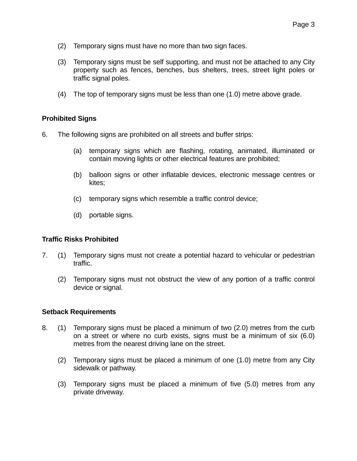- (2) Temporary signs must have no more than two sign faces.
- (3) Temporary signs must be self supporting, and must not be attached to any City property such as fences, benches, bus shelters, trees, street light poles or traffic signal poles.
- (4) The top of temporary signs must be less than one (1.0) metre above grade.

#### **Prohibited Signs**

- 6. The following signs are prohibited on all streets and buffer strips:
	- (a) temporary signs which are flashing, rotating, animated, illuminated or contain moving lights or other electrical features are prohibited;
	- (b) balloon signs or other inflatable devices, electronic message centres or kites;
	- (c) temporary signs which resemble a traffic control device;
	- (d) portable signs.

#### **Traffic Risks Prohibited**

- 7. (1) Temporary signs must not create a potential hazard to vehicular or pedestrian traffic.
	- (2) Temporary signs must not obstruct the view of any portion of a traffic control device or signal.

#### **Setback Requirements**

- 8. (1) Temporary signs must be placed a minimum of two (2.0) metres from the curb on a street or where no curb exists, signs must be a minimum of six (6.0) metres from the nearest driving lane on the street.
	- (2) Temporary signs must be placed a minimum of one (1.0) metre from any City sidewalk or pathway.
	- (3) Temporary signs must be placed a minimum of five (5.0) metres from any private driveway.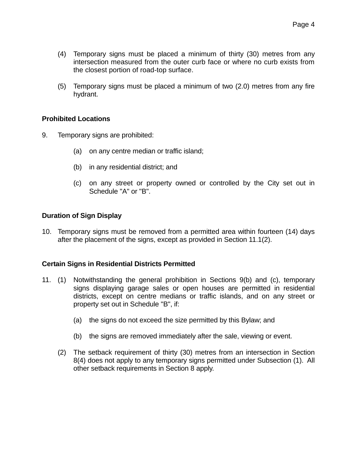- (4) Temporary signs must be placed a minimum of thirty (30) metres from any intersection measured from the outer curb face or where no curb exists from the closest portion of road-top surface.
- (5) Temporary signs must be placed a minimum of two (2.0) metres from any fire hydrant.

#### **Prohibited Locations**

- 9. Temporary signs are prohibited:
	- (a) on any centre median or traffic island;
	- (b) in any residential district; and
	- (c) on any street or property owned or controlled by the City set out in Schedule "A" or "B".

#### **Duration of Sign Display**

10. Temporary signs must be removed from a permitted area within fourteen (14) days after the placement of the signs, except as provided in Section 11.1(2).

#### **Certain Signs in Residential Districts Permitted**

- 11. (1) Notwithstanding the general prohibition in Sections 9(b) and (c), temporary signs displaying garage sales or open houses are permitted in residential districts, except on centre medians or traffic islands, and on any street or property set out in Schedule "B", if:
	- (a) the signs do not exceed the size permitted by this Bylaw; and
	- (b) the signs are removed immediately after the sale, viewing or event.
	- (2) The setback requirement of thirty (30) metres from an intersection in Section 8(4) does not apply to any temporary signs permitted under Subsection (1). All other setback requirements in Section 8 apply.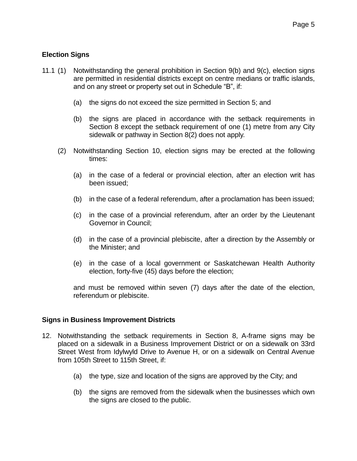#### **Election Signs**

- 11.1 (1) Notwithstanding the general prohibition in Section 9(b) and 9(c), election signs are permitted in residential districts except on centre medians or traffic islands, and on any street or property set out in Schedule "B", if:
	- (a) the signs do not exceed the size permitted in Section 5; and
	- (b) the signs are placed in accordance with the setback requirements in Section 8 except the setback requirement of one (1) metre from any City sidewalk or pathway in Section 8(2) does not apply.
	- (2) Notwithstanding Section 10, election signs may be erected at the following times:
		- (a) in the case of a federal or provincial election, after an election writ has been issued;
		- (b) in the case of a federal referendum, after a proclamation has been issued;
		- (c) in the case of a provincial referendum, after an order by the Lieutenant Governor in Council;
		- (d) in the case of a provincial plebiscite, after a direction by the Assembly or the Minister; and
		- (e) in the case of a local government or Saskatchewan Health Authority election, forty-five (45) days before the election;

and must be removed within seven (7) days after the date of the election, referendum or plebiscite.

#### **Signs in Business Improvement Districts**

- 12. Notwithstanding the setback requirements in Section 8, A-frame signs may be placed on a sidewalk in a Business Improvement District or on a sidewalk on 33rd Street West from Idylwyld Drive to Avenue H, or on a sidewalk on Central Avenue from 105th Street to 115th Street, if:
	- (a) the type, size and location of the signs are approved by the City; and
	- (b) the signs are removed from the sidewalk when the businesses which own the signs are closed to the public.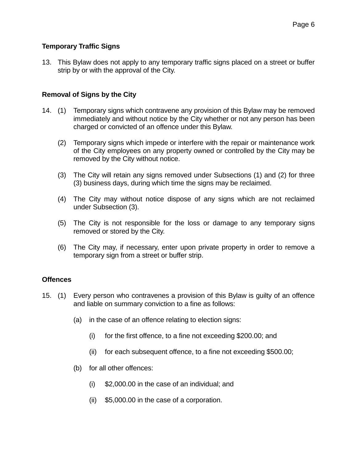#### **Temporary Traffic Signs**

13. This Bylaw does not apply to any temporary traffic signs placed on a street or buffer strip by or with the approval of the City.

#### **Removal of Signs by the City**

- 14. (1) Temporary signs which contravene any provision of this Bylaw may be removed immediately and without notice by the City whether or not any person has been charged or convicted of an offence under this Bylaw.
	- (2) Temporary signs which impede or interfere with the repair or maintenance work of the City employees on any property owned or controlled by the City may be removed by the City without notice.
	- (3) The City will retain any signs removed under Subsections (1) and (2) for three (3) business days, during which time the signs may be reclaimed.
	- (4) The City may without notice dispose of any signs which are not reclaimed under Subsection (3).
	- (5) The City is not responsible for the loss or damage to any temporary signs removed or stored by the City.
	- (6) The City may, if necessary, enter upon private property in order to remove a temporary sign from a street or buffer strip.

#### **Offences**

- 15. (1) Every person who contravenes a provision of this Bylaw is guilty of an offence and liable on summary conviction to a fine as follows:
	- (a) in the case of an offence relating to election signs:
		- (i) for the first offence, to a fine not exceeding \$200.00; and
		- (ii) for each subsequent offence, to a fine not exceeding \$500.00;
	- (b) for all other offences:
		- (i) \$2,000.00 in the case of an individual; and
		- (ii) \$5,000.00 in the case of a corporation.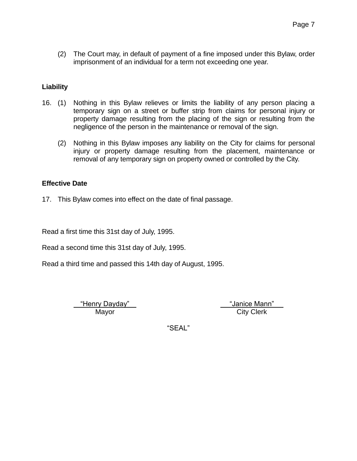(2) The Court may, in default of payment of a fine imposed under this Bylaw, order imprisonment of an individual for a term not exceeding one year.

#### **Liability**

- 16. (1) Nothing in this Bylaw relieves or limits the liability of any person placing a temporary sign on a street or buffer strip from claims for personal injury or property damage resulting from the placing of the sign or resulting from the negligence of the person in the maintenance or removal of the sign.
	- (2) Nothing in this Bylaw imposes any liability on the City for claims for personal injury or property damage resulting from the placement, maintenance or removal of any temporary sign on property owned or controlled by the City.

#### **Effective Date**

17. This Bylaw comes into effect on the date of final passage.

Read a first time this 31st day of July, 1995.

Read a second time this 31st day of July, 1995.

Read a third time and passed this 14th day of August, 1995.

"Henry Dayday" "Janice Mann"

Mayor City Clerk

"SEAL"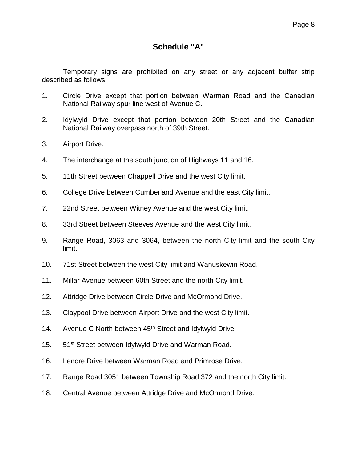# **Schedule "A"**

Temporary signs are prohibited on any street or any adjacent buffer strip described as follows:

- 1. Circle Drive except that portion between Warman Road and the Canadian National Railway spur line west of Avenue C.
- 2. Idylwyld Drive except that portion between 20th Street and the Canadian National Railway overpass north of 39th Street.
- 3. Airport Drive.
- 4. The interchange at the south junction of Highways 11 and 16.
- 5. 11th Street between Chappell Drive and the west City limit.
- 6. College Drive between Cumberland Avenue and the east City limit.
- 7. 22nd Street between Witney Avenue and the west City limit.
- 8. 33rd Street between Steeves Avenue and the west City limit.
- 9. Range Road, 3063 and 3064, between the north City limit and the south City limit.
- 10. 71st Street between the west City limit and Wanuskewin Road.
- 11. Millar Avenue between 60th Street and the north City limit.
- 12. Attridge Drive between Circle Drive and McOrmond Drive.
- 13. Claypool Drive between Airport Drive and the west City limit.
- 14. Avenue C North between 45<sup>th</sup> Street and Idylwyld Drive.
- 15. 51<sup>st</sup> Street between Idylwyld Drive and Warman Road.
- 16. Lenore Drive between Warman Road and Primrose Drive.
- 17. Range Road 3051 between Township Road 372 and the north City limit.
- 18. Central Avenue between Attridge Drive and McOrmond Drive.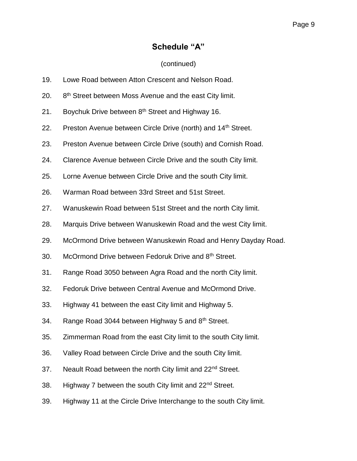## **Schedule "A"**

### (continued)

- 19. Lowe Road between Atton Crescent and Nelson Road.
- $20.$ 8<sup>th</sup> Street between Moss Avenue and the east City limit.
- 21. Boychuk Drive between  $8<sup>th</sup>$  Street and Highway 16.
- 22. Preston Avenue between Circle Drive (north) and 14<sup>th</sup> Street.
- 23. Preston Avenue between Circle Drive (south) and Cornish Road.
- 24. Clarence Avenue between Circle Drive and the south City limit.
- 25. Lorne Avenue between Circle Drive and the south City limit.
- 26. Warman Road between 33rd Street and 51st Street.
- 27. Wanuskewin Road between 51st Street and the north City limit.
- 28. Marquis Drive between Wanuskewin Road and the west City limit.
- 29. McOrmond Drive between Wanuskewin Road and Henry Dayday Road.
- 30. McOrmond Drive between Fedoruk Drive and 8th Street.
- 31. Range Road 3050 between Agra Road and the north City limit.
- 32. Fedoruk Drive between Central Avenue and McOrmond Drive.
- 33. Highway 41 between the east City limit and Highway 5.
- 34. Range Road 3044 between Highway 5 and 8<sup>th</sup> Street.
- 35. Zimmerman Road from the east City limit to the south City limit.
- 36. Valley Road between Circle Drive and the south City limit.
- 37. Neault Road between the north City limit and 22<sup>nd</sup> Street.
- 38. Highway 7 between the south City limit and 22<sup>nd</sup> Street.
- 39. Highway 11 at the Circle Drive Interchange to the south City limit.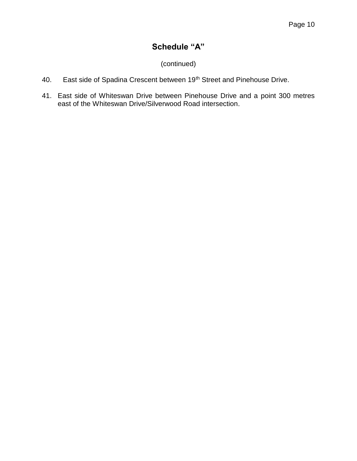# **Schedule "A"**

### (continued)

- 40. East side of Spadina Crescent between 19<sup>th</sup> Street and Pinehouse Drive.
- 41. East side of Whiteswan Drive between Pinehouse Drive and a point 300 metres east of the Whiteswan Drive/Silverwood Road intersection.